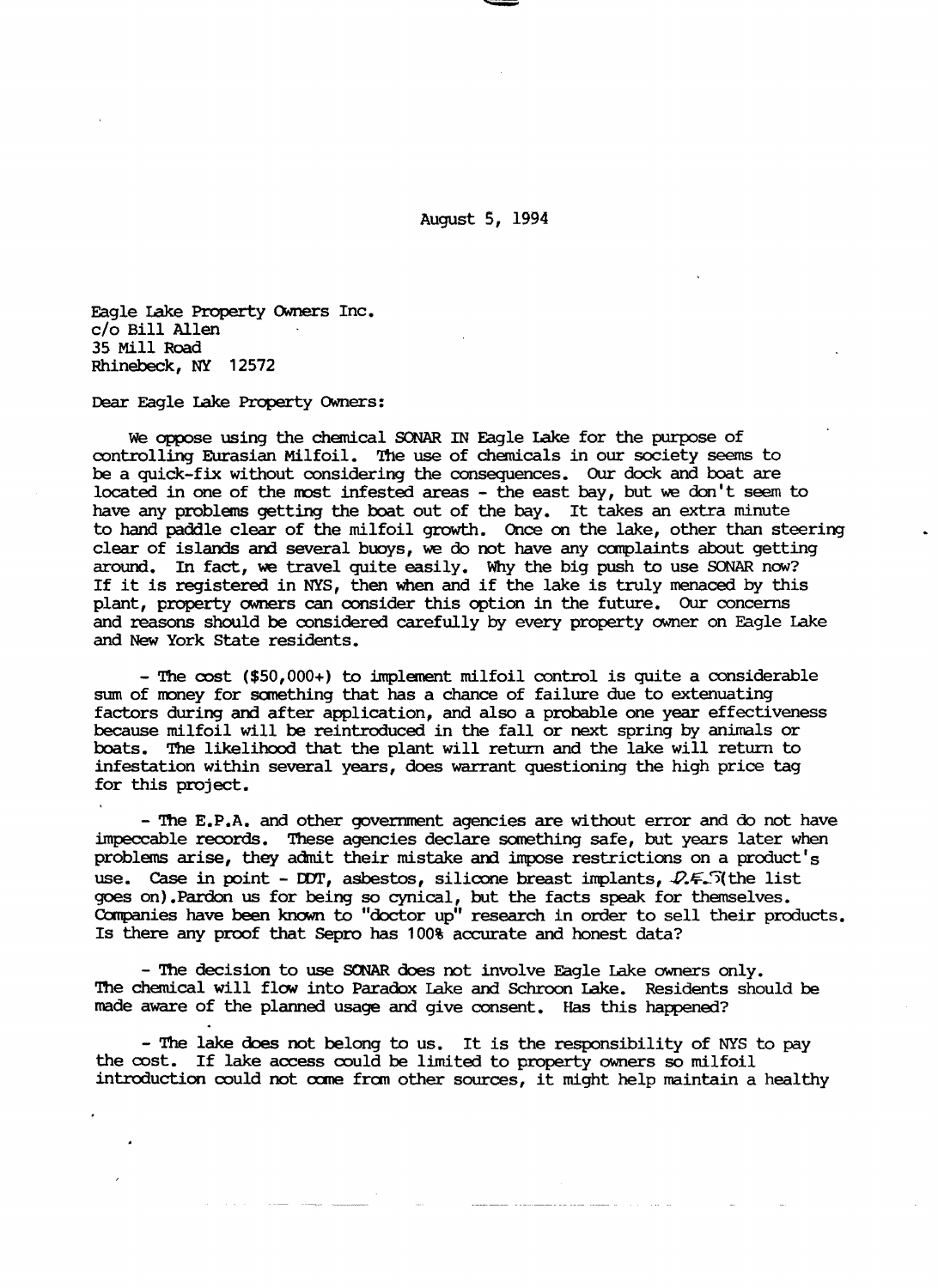August 5, 1994

Eagle lake Property OWners Inc. c/o Bill Allen 35 Mill Road Rhinebeck, NY 12572

Dear Eagle lake Property OWners:

We oppose using the chemical SONAR IN Eagle lake for the purpose of controlling Eurasian Milfoil. The use of chemicals in our society seems to be a quick-fix without considering the consequences. Our dock and boat are located in one of the roost infested areas - the east bay, but we don't seem to have any problems getting the boat out of the bay. It takes an extra minute to hand paddle clear of the milfoil growth. once on the lake, other than steering clear of islands and several buoys, we do not have any canplaints about getting around. In fact, we travel quite easily. Why the big push to use SONAR now? If it is registered in NYS, then when and if the lake is truly menaced by this plant, property owners can consider this option in the future. Our concerns and reasons should be considered carefully by every property owner on Eagle Lake and New York state residents.

- The  $\text{cost}$  (\$50,000+) to implement milfoil control is quite a considerable sum of money for something that has a chance of failure due to extenuating factors during and after application, and also a probable one year effectiveness because milfoil will be reintroduced in the fall or next spring by animals or boats. The likelihood that the plant will return and the lake will return to infestation within several years, does warrant questioning the high price tag for this project.

- The E.P.A. and other government agencies are without error and do not have impeccable records. These agencies declare sanething safe, but years later when problems arise, they admit their mistake and impose restrictions on a product's use. Case in point - DOT, asbestos, silicone breast implants,  $\mathcal{Q} \in \mathcal{S}$  (the list goes on) .Pardon us for being so cynical, but the facts speak for themselves. companies have been known to "doctor up" research in order to sell their products. Is there any proof that Sepro has 100% accurate and honest data?

- The decision to use SONAR does not involve Eagle Lake owners only. '!be chemical will flow into Paradox Lake and Schroon lake. Residents should be made aware of the planned usage and give consent. Has this happened?

- The lake does not belong to us. It is the responsibility of NYS to pay the cost. If lake access could be limited to property owners so milfoil introduction could not come from other sources, it might help maintain a healthy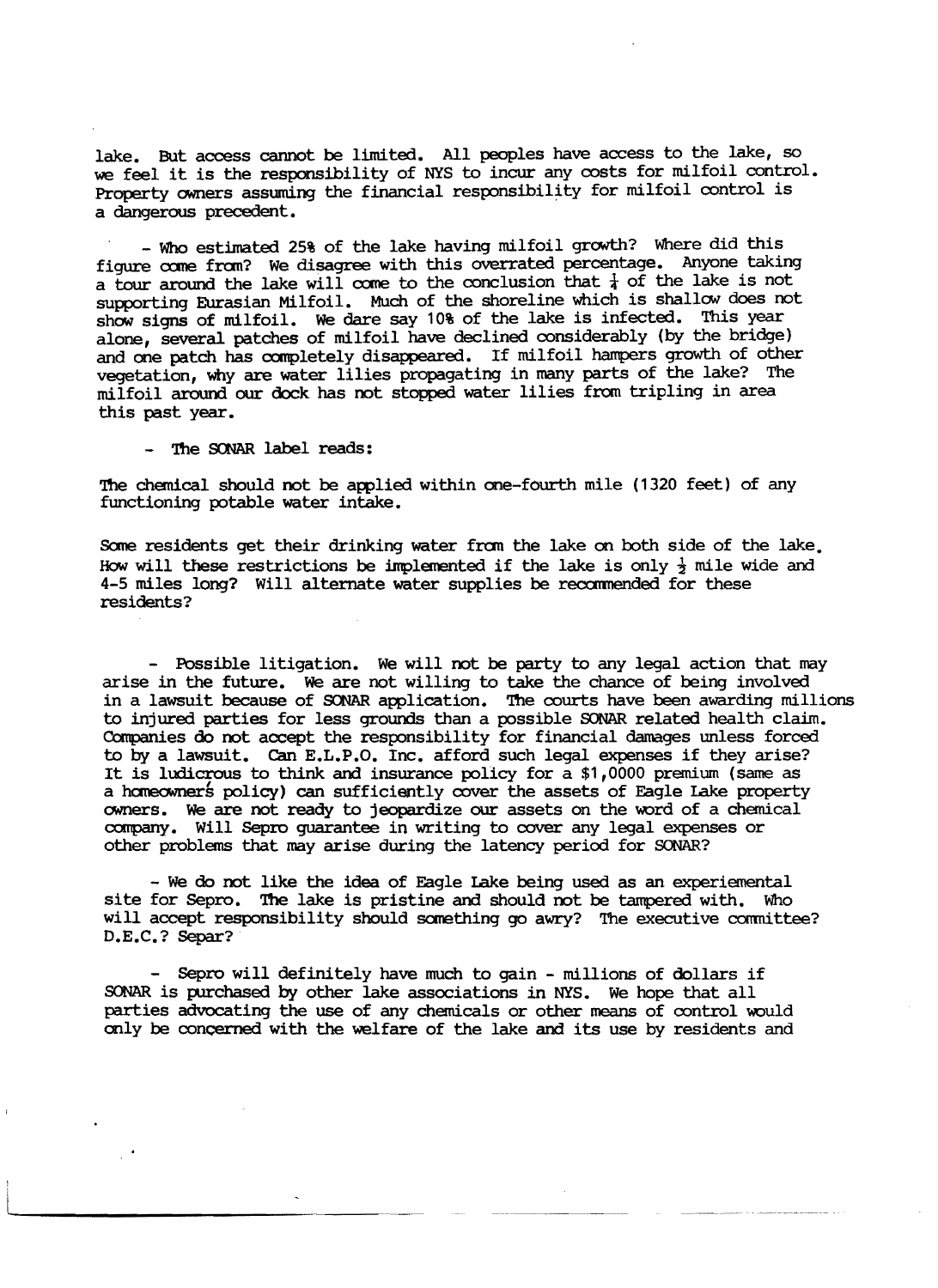lake. But access cannot be limited. All peoples have access to the lake, so we feel it is the responsibility of NYS to incur any costs for milfoil control. Property owners assuming the financial responsibility for milfoil control is a dangerous precedent.

- Who estimated 25% of the lake having milfoil growth? Where did this figure come from? We disagree with this overrated percentage. Anyone taking a tour around the lake will come to the conclusion that  $\frac{1}{4}$  of the lake is not supporting Eurasian Milfoil. Much of the shoreline which is shallow does not show signs of milfoil. We dare say 10% of the lake is infected. This year alone, several patches of milfoil have declined considerably (by the bridge) and one patch has completely disappeared. If milfoil hampers growth of other vegetation, why are water lilies propagating in many parts of the lake? The milfoil around our dock has not stopped water lilies from tripling in area this past year.

The SONAR label reads:

'!he chemical should not be applied within one-fourth mile (1320 feet) of any functioning potable water intake.

Some residents get their drinking water from the lake on both side of the lake. How will these restrictions be implemented if the lake is only  $\frac{1}{2}$  mile wide and 4-5 miles long? Will alternate water supplies be reocmnended for these residents?

- Possible litigation. We will not be party to any legal action that may arise in the future. We are not willing to take the chance of being involved in a lawsuit because of SONAR application. The courts have been awarding millions to injured parties for less grounds than a possible SCNAR related health claim. Companies do not accept the responsibility for financial damages unless forced to by a lawsuit. can E.L.P.O. Inc. afford such legal expenses if they arise? It is ludicrous to think and insurance policy for a \$1,0000 premium (same as a haneowners policy) can sufficiently cover the assets of Eagle Lake property owners. We are not ready to jeopardize our assets on the word of a chemical company. Will Sepro guarantee in writing to cover any legal expenses or other problems that may arise during the latency period for SONAR?

- We do not like the idea of Eagle Lake being used as an experiemental site for Sepro. The lake is pristine and should not be tampered with. Who will accept responsibility should scmething go awry? The executive conmittee? D.E.C.? Separ?

- Sepro will definitely have much to gain - millions of dollars if SONAR is purchased by other lake associations in NYS. We hope that all parties advocating the use of any chemicals or other means of control would only be concerned with the welfare of the lake and its use by residents and